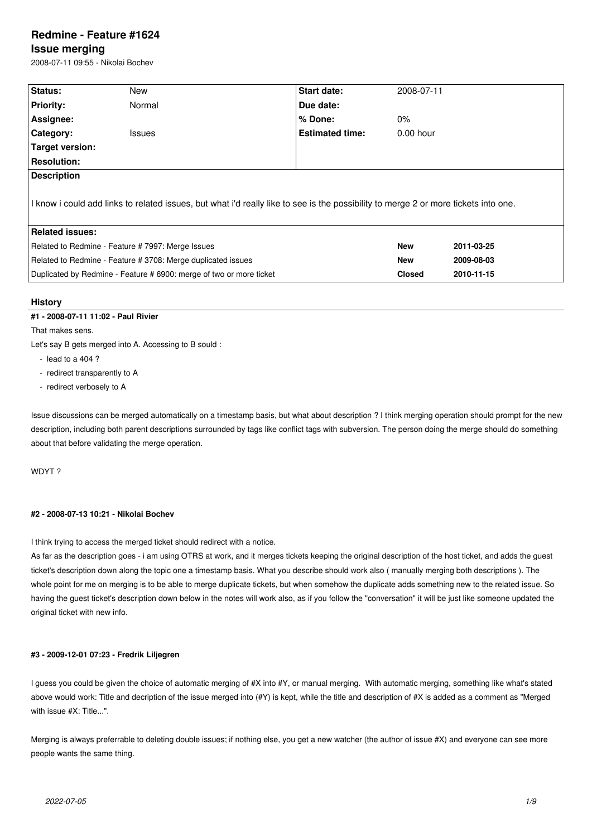# **Redmine - Feature #1624**

## **Issue merging**

2008-07-11 09:55 - Nikolai Bochev

| Status:                                                                                                                             | New           | Start date:            |               | 2008-07-11 |  |
|-------------------------------------------------------------------------------------------------------------------------------------|---------------|------------------------|---------------|------------|--|
| <b>Priority:</b>                                                                                                                    | Normal        | Due date:              |               |            |  |
| Assignee:                                                                                                                           |               | $%$ Done:              | $0\%$         |            |  |
| <b>Category:</b>                                                                                                                    | <b>Issues</b> | <b>Estimated time:</b> | $0.00$ hour   |            |  |
| Target version:                                                                                                                     |               |                        |               |            |  |
| <b>Resolution:</b>                                                                                                                  |               |                        |               |            |  |
| <b>Description</b>                                                                                                                  |               |                        |               |            |  |
| I know i could add links to related issues, but what i'd really like to see is the possibility to merge 2 or more tickets into one. |               |                        |               |            |  |
| <b>Related issues:</b>                                                                                                              |               |                        |               |            |  |
| Related to Redmine - Feature #7997: Merge Issues                                                                                    |               |                        | <b>New</b>    | 2011-03-25 |  |
| Related to Redmine - Feature # 3708: Merge duplicated issues                                                                        |               |                        | <b>New</b>    | 2009-08-03 |  |
| Duplicated by Redmine - Feature # 6900: merge of two or more ticket                                                                 |               |                        | <b>Closed</b> | 2010-11-15 |  |
|                                                                                                                                     |               |                        |               |            |  |

## **History**

## **#1 - 2008-07-11 11:02 - Paul Rivier**

That makes sens.

Let's say B gets merged into A. Accessing to B sould :

- lead to a 404 ?
- redirect transparently to A
- redirect verbosely to A

Issue discussions can be merged automatically on a timestamp basis, but what about description ? I think merging operation should prompt for the new description, including both parent descriptions surrounded by tags like conflict tags with subversion. The person doing the merge should do something about that before validating the merge operation.

WDYT ?

## **#2 - 2008-07-13 10:21 - Nikolai Bochev**

I think trying to access the merged ticket should redirect with a notice.

As far as the description goes - i am using OTRS at work, and it merges tickets keeping the original description of the host ticket, and adds the guest ticket's description down along the topic one a timestamp basis. What you describe should work also ( manually merging both descriptions ). The whole point for me on merging is to be able to merge duplicate tickets, but when somehow the duplicate adds something new to the related issue. So having the guest ticket's description down below in the notes will work also, as if you follow the "conversation" it will be just like someone updated the original ticket with new info.

## **#3 - 2009-12-01 07:23 - Fredrik Liljegren**

I guess you could be given the choice of automatic merging of #X into #Y, or manual merging. With automatic merging, something like what's stated above would work: Title and decription of the issue merged into (#Y) is kept, while the title and description of #X is added as a comment as "Merged with issue #X: Title...".

Merging is always preferrable to deleting double issues; if nothing else, you get a new watcher (the author of issue #X) and everyone can see more people wants the same thing.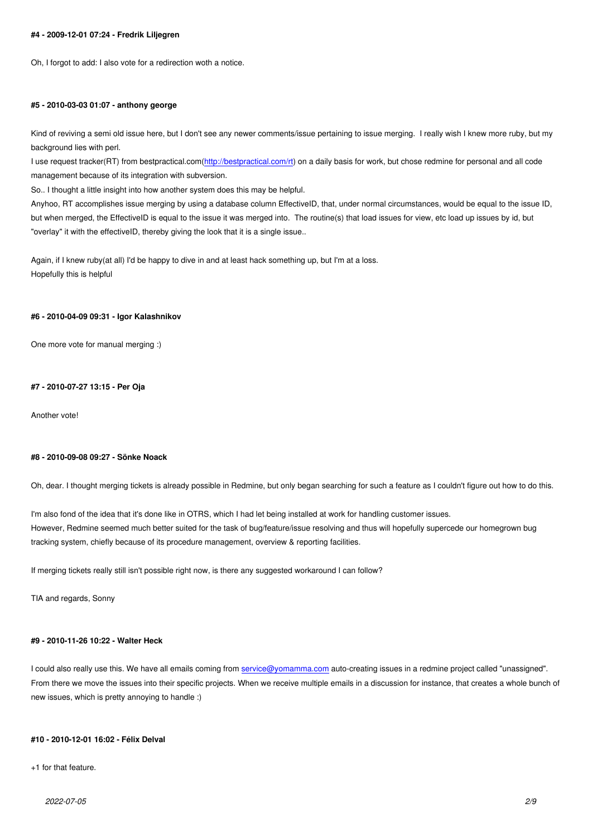## **#5 - 2010-03-03 01:07 - anthony george**

Kind of reviving a semi old issue here, but I don't see any newer comments/issue pertaining to issue merging. I really wish I knew more ruby, but my background lies with perl.

I use request tracker(RT) from bestpractical.com(http://bestpractical.com/rt) on a daily basis for work, but chose redmine for personal and all code management because of its integration with subversion.

So.. I thought a little insight into how another system does this may be helpful.

Anyhoo, RT accomplishes issue merging by usin[g a database column Effec](http://bestpractical.com/rt)tiveID, that, under normal circumstances, would be equal to the issue ID, but when merged, the EffectiveID is equal to the issue it was merged into. The routine(s) that load issues for view, etc load up issues by id, but "overlay" it with the effectiveID, thereby giving the look that it is a single issue..

Again, if I knew ruby(at all) I'd be happy to dive in and at least hack something up, but I'm at a loss. Hopefully this is helpful

#### **#6 - 2010-04-09 09:31 - Igor Kalashnikov**

One more vote for manual merging :)

#### **#7 - 2010-07-27 13:15 - Per Oja**

Another vote!

## **#8 - 2010-09-08 09:27 - Sönke Noack**

Oh, dear. I thought merging tickets is already possible in Redmine, but only began searching for such a feature as I couldn't figure out how to do this.

I'm also fond of the idea that it's done like in OTRS, which I had let being installed at work for handling customer issues. However, Redmine seemed much better suited for the task of bug/feature/issue resolving and thus will hopefully supercede our homegrown bug tracking system, chiefly because of its procedure management, overview & reporting facilities.

If merging tickets really still isn't possible right now, is there any suggested workaround I can follow?

TIA and regards, Sonny

## **#9 - 2010-11-26 10:22 - Walter Heck**

I could also really use this. We have all emails coming from service@yomamma.com auto-creating issues in a redmine project called "unassigned". From there we move the issues into their specific projects. When we receive multiple emails in a discussion for instance, that creates a whole bunch of new issues, which is pretty annoying to handle :)

## **#10 - 2010-12-01 16:02 - Félix Delval**

+1 for that feature.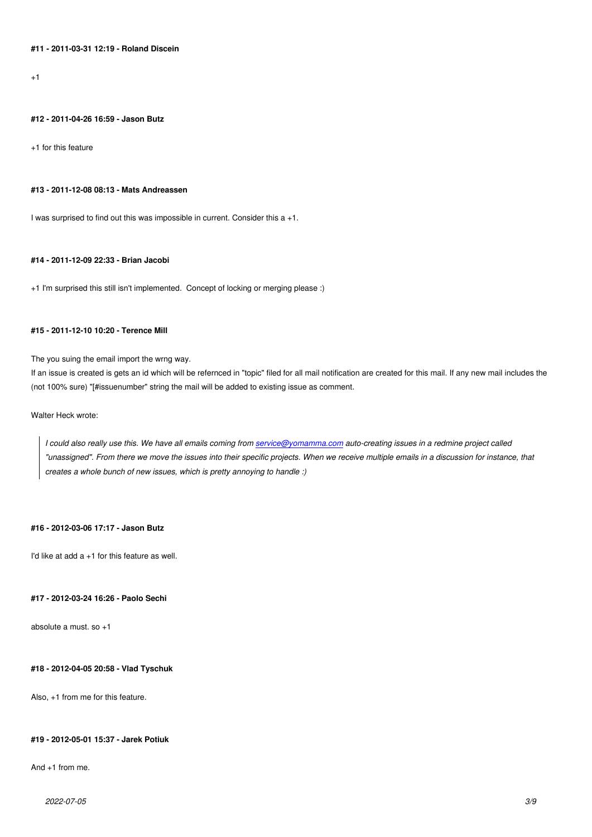+1

#### **#12 - 2011-04-26 16:59 - Jason Butz**

+1 for this feature

#### **#13 - 2011-12-08 08:13 - Mats Andreassen**

I was surprised to find out this was impossible in current. Consider this a +1.

## **#14 - 2011-12-09 22:33 - Brian Jacobi**

+1 I'm surprised this still isn't implemented. Concept of locking or merging please :)

## **#15 - 2011-12-10 10:20 - Terence Mill**

The you suing the email import the wrng way.

If an issue is created is gets an id which will be refernced in "topic" filed for all mail notification are created for this mail. If any new mail includes the (not 100% sure) "[#issuenumber" string the mail will be added to existing issue as comment.

## Walter Heck wrote:

*I could also really use this. We have all emails coming from service@yomamma.com auto-creating issues in a redmine project called "unassigned". From there we move the issues into their specific projects. When we receive multiple emails in a discussion for instance, that creates a whole bunch of new issues, which is pretty annoying to handle :)*

### **#16 - 2012-03-06 17:17 - Jason Butz**

I'd like at add  $a + 1$  for this feature as well.

#### **#17 - 2012-03-24 16:26 - Paolo Sechi**

absolute a must. so +1

## **#18 - 2012-04-05 20:58 - Vlad Tyschuk**

Also, +1 from me for this feature.

## **#19 - 2012-05-01 15:37 - Jarek Potiuk**

And +1 from me.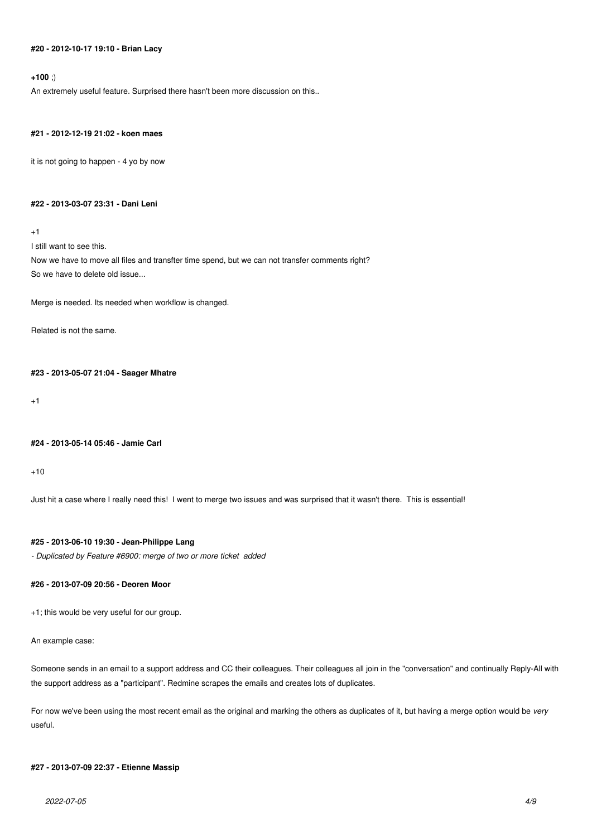## **#20 - 2012-10-17 19:10 - Brian Lacy**

## **+100** ;)

An extremely useful feature. Surprised there hasn't been more discussion on this..

#### **#21 - 2012-12-19 21:02 - koen maes**

it is not going to happen - 4 yo by now

#### **#22 - 2013-03-07 23:31 - Dani Leni**

+1

I still want to see this.

Now we have to move all files and transfter time spend, but we can not transfer comments right? So we have to delete old issue...

Merge is needed. Its needed when workflow is changed.

Related is not the same.

#### **#23 - 2013-05-07 21:04 - Saager Mhatre**

+1

#### **#24 - 2013-05-14 05:46 - Jamie Carl**

 $+10$ 

Just hit a case where I really need this! I went to merge two issues and was surprised that it wasn't there. This is essential!

## **#25 - 2013-06-10 19:30 - Jean-Philippe Lang**

*- Duplicated by Feature #6900: merge of two or more ticket added*

## **#26 - 2013-07-09 20:56 - Deoren Moor**

+1; this would be very useful for our group.

An example case:

Someone sends in an email to a support address and CC their colleagues. Their colleagues all join in the "conversation" and continually Reply-All with the support address as a "participant". Redmine scrapes the emails and creates lots of duplicates.

For now we've been using the most recent email as the original and marking the others as duplicates of it, but having a merge option would be *very* useful.

## **#27 - 2013-07-09 22:37 - Etienne Massip**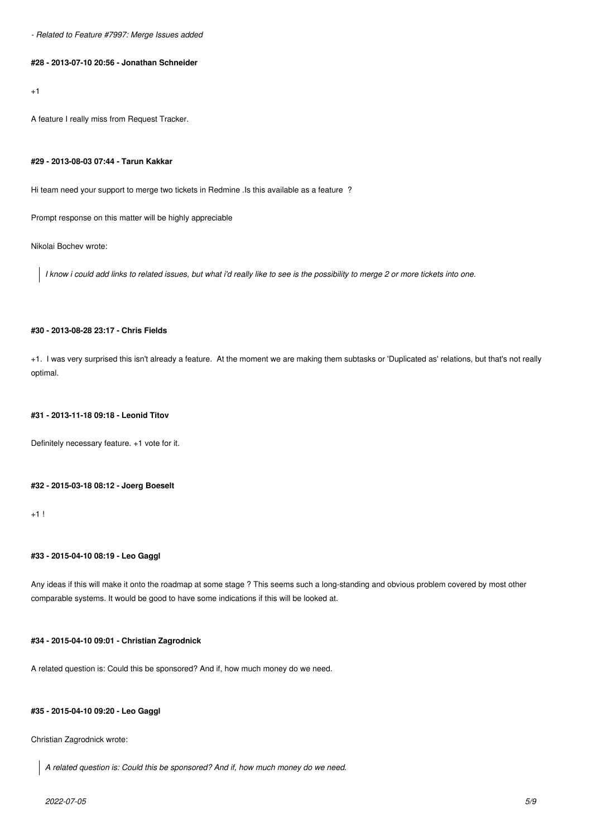*- Related to Feature #7997: Merge Issues added*

## **#28 - 2013-07-10 20:56 - Jonathan Schneider**

 $+1$ 

A feature I really miss from Request Tracker.

#### **#29 - 2013-08-03 07:44 - Tarun Kakkar**

Hi team need your support to merge two tickets in Redmine .Is this available as a feature ?

Prompt response on this matter will be highly appreciable

Nikolai Bochev wrote:

*I know i could add links to related issues, but what i'd really like to see is the possibility to merge 2 or more tickets into one.*

## **#30 - 2013-08-28 23:17 - Chris Fields**

+1. I was very surprised this isn't already a feature. At the moment we are making them subtasks or 'Duplicated as' relations, but that's not really optimal.

#### **#31 - 2013-11-18 09:18 - Leonid Titov**

Definitely necessary feature. +1 vote for it.

## **#32 - 2015-03-18 08:12 - Joerg Boeselt**

 $+1!$ 

## **#33 - 2015-04-10 08:19 - Leo Gaggl**

Any ideas if this will make it onto the roadmap at some stage ? This seems such a long-standing and obvious problem covered by most other comparable systems. It would be good to have some indications if this will be looked at.

## **#34 - 2015-04-10 09:01 - Christian Zagrodnick**

A related question is: Could this be sponsored? And if, how much money do we need.

## **#35 - 2015-04-10 09:20 - Leo Gaggl**

Christian Zagrodnick wrote:

*A related question is: Could this be sponsored? And if, how much money do we need.*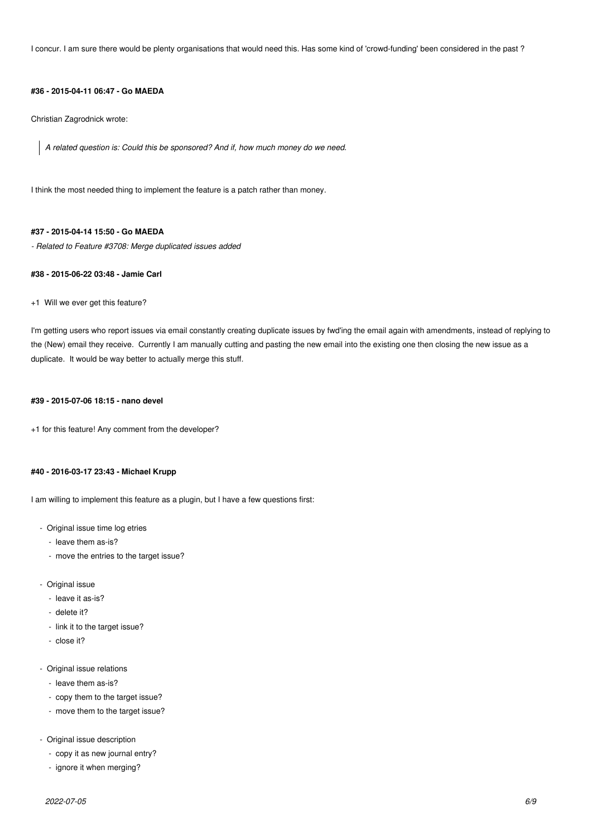I concur. I am sure there would be plenty organisations that would need this. Has some kind of 'crowd-funding' been considered in the past ?

#### **#36 - 2015-04-11 06:47 - Go MAEDA**

Christian Zagrodnick wrote:

*A related question is: Could this be sponsored? And if, how much money do we need.*

I think the most needed thing to implement the feature is a patch rather than money.

#### **#37 - 2015-04-14 15:50 - Go MAEDA**

*- Related to Feature #3708: Merge duplicated issues added*

## **#38 - 2015-06-22 03:48 - Jamie Carl**

#### +1 Will we ever get this feature?

I'm getting users who report issues via email constantly creating duplicate issues by fwd'ing the email again with amendments, instead of replying to the (New) email they receive. Currently I am manually cutting and pasting the new email into the existing one then closing the new issue as a duplicate. It would be way better to actually merge this stuff.

## **#39 - 2015-07-06 18:15 - nano devel**

+1 for this feature! Any comment from the developer?

## **#40 - 2016-03-17 23:43 - Michael Krupp**

I am willing to implement this feature as a plugin, but I have a few questions first:

- Original issue time log etries
	- leave them as-is?
	- move the entries to the target issue?
- Original issue
	- leave it as-is?
	- delete it?
	- link it to the target issue?
	- close it?
- Original issue relations
	- leave them as-is?
	- copy them to the target issue?
	- move them to the target issue?
- Original issue description
	- copy it as new journal entry?
	- ignore it when merging?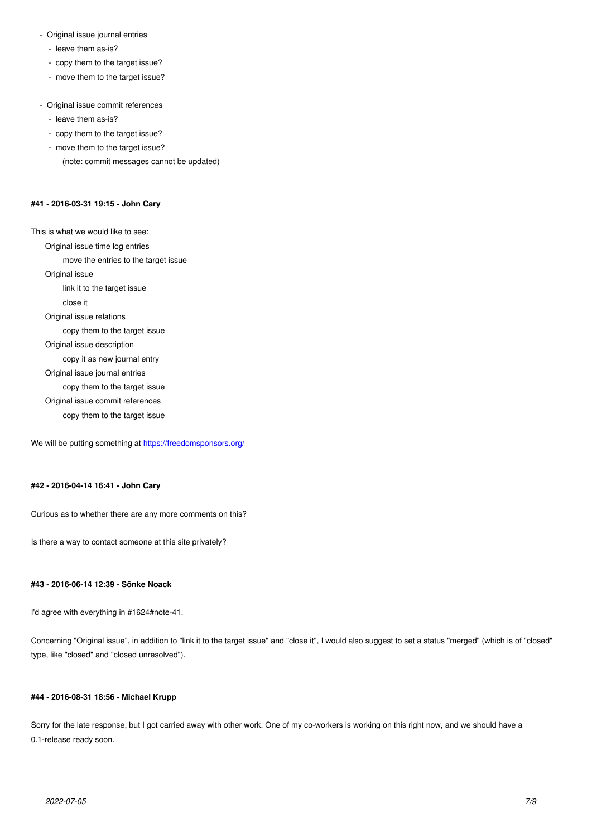- $i$  $\sigma$ av $\sigma$  them as-is:
- copy them to the target issue?
- move them to the target issue?
- Original issue commit references
	- leave them as-is?
	- copy them to the target issue?
	- move them to the target issue?
		- (note: commit messages cannot be updated)

## **#41 - 2016-03-31 19:15 - John Cary**

This is what we would like to see: Original issue time log entries move the entries to the target issue Original issue link it to the target issue close it Original issue relations copy them to the target issue Original issue description copy it as new journal entry Original issue journal entries copy them to the target issue Original issue commit references copy them to the target issue

We will be putting something at https://freedomsponsors.org/

#### **#42 - 2016-04-14 16:41 - John [Cary](https://freedomsponsors.org/)**

Curious as to whether there are any more comments on this?

Is there a way to contact someone at this site privately?

#### **#43 - 2016-06-14 12:39 - Sönke Noack**

I'd agree with everything in #1624#note-41.

Concerning "Original issue", in addition to "link it to the target issue" and "close it", I would also suggest to set a status "merged" (which is of "closed" type, like "closed" and "closed unresolved").

#### **#44 - 2016-08-31 18:56 - Michael Krupp**

Sorry for the late response, but I got carried away with other work. One of my co-workers is working on this right now, and we should have a 0.1-release ready soon.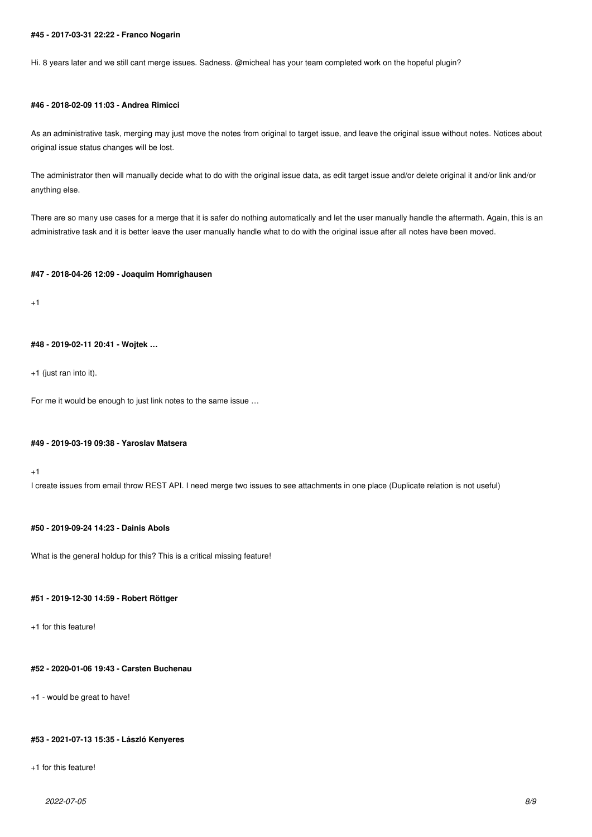#### **#45 - 2017-03-31 22:22 - Franco Nogarin**

Hi. 8 years later and we still cant merge issues. Sadness. @micheal has your team completed work on the hopeful plugin?

## **#46 - 2018-02-09 11:03 - Andrea Rimicci**

As an administrative task, merging may just move the notes from original to target issue, and leave the original issue without notes. Notices about original issue status changes will be lost.

The administrator then will manually decide what to do with the original issue data, as edit target issue and/or delete original it and/or link and/or anything else.

There are so many use cases for a merge that it is safer do nothing automatically and let the user manually handle the aftermath. Again, this is an administrative task and it is better leave the user manually handle what to do with the original issue after all notes have been moved.

#### **#47 - 2018-04-26 12:09 - Joaquim Homrighausen**

 $+1$ 

## **#48 - 2019-02-11 20:41 - Wojtek …**

+1 (just ran into it).

For me it would be enough to just link notes to the same issue …

#### **#49 - 2019-03-19 09:38 - Yaroslav Matsera**

+1

I create issues from email throw REST API. I need merge two issues to see attachments in one place (Duplicate relation is not useful)

## **#50 - 2019-09-24 14:23 - Dainis Abols**

What is the general holdup for this? This is a critical missing feature!

#### **#51 - 2019-12-30 14:59 - Robert Röttger**

+1 for this feature!

## **#52 - 2020-01-06 19:43 - Carsten Buchenau**

+1 - would be great to have!

## **#53 - 2021-07-13 15:35 - László Kenyeres**

+1 for this feature!